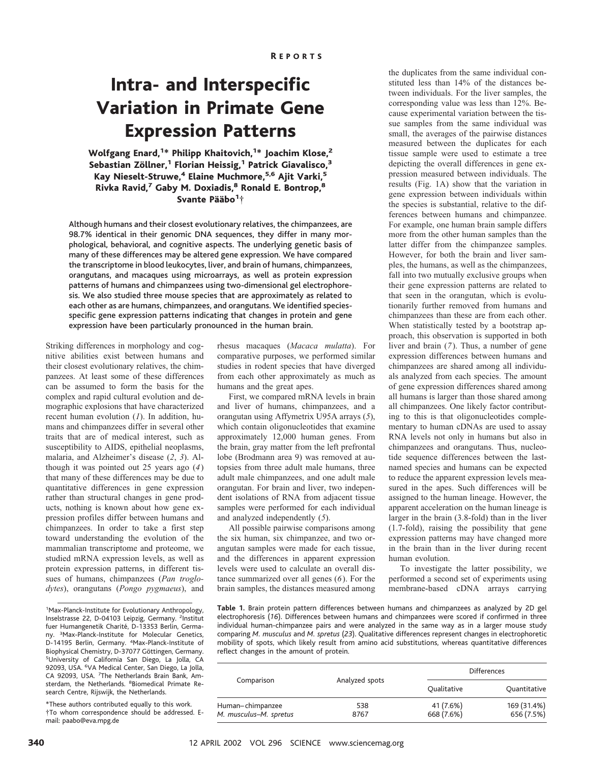## Intra- and Interspecific Variation in Primate Gene Expression Patterns

Wolfgang Enard,<sup>1\*</sup> Philipp Khaitovich,<sup>1\*</sup> Joachim Klose,<sup>2</sup> Sebastian Zöllner,<sup>1</sup> Florian Heissig,<sup>1</sup> Patrick Giavalisco,<sup>3</sup> Kay Nieselt-Struwe,<sup>4</sup> Elaine Muchmore,<sup>5,6</sup> Ajit Varki,<sup>5</sup> Rivka Ravid,<sup>7</sup> Gaby M. Doxiadis,<sup>8</sup> Ronald E. Bontrop,<sup>8</sup> Svante Pääbo $^1\dagger$ 

Although humans and their closest evolutionary relatives, the chimpanzees, are 98.7% identical in their genomic DNA sequences, they differ in many morphological, behavioral, and cognitive aspects. The underlying genetic basis of many of these differences may be altered gene expression. We have compared the transcriptome in blood leukocytes, liver, and brain of humans, chimpanzees, orangutans, and macaques using microarrays, as well as protein expression patterns of humans and chimpanzees using two-dimensional gel electrophoresis. We also studied three mouse species that are approximately as related to each other as are humans, chimpanzees, and orangutans. We identified speciesspecific gene expression patterns indicating that changes in protein and gene expression have been particularly pronounced in the human brain.

Striking differences in morphology and cognitive abilities exist between humans and their closest evolutionary relatives, the chimpanzees. At least some of these differences can be assumed to form the basis for the complex and rapid cultural evolution and demographic explosions that have characterized recent human evolution (*1*). In addition, humans and chimpanzees differ in several other traits that are of medical interest, such as susceptibility to AIDS, epithelial neoplasms, malaria, and Alzheimer's disease (*2*, *3*). Although it was pointed out 25 years ago (*4*) that many of these differences may be due to quantitative differences in gene expression rather than structural changes in gene products, nothing is known about how gene expression profiles differ between humans and chimpanzees. In order to take a first step toward understanding the evolution of the mammalian transcriptome and proteome, we studied mRNA expression levels, as well as protein expression patterns, in different tissues of humans, chimpanzees (*Pan troglodytes*), orangutans (*Pongo pygmaeus*), and

1 Max-Planck-Institute for Evolutionary Anthropology, Inselstrasse 22, D-04103 Leipzig, Germany. <sup>2</sup>Institut fuer Humangenetik Charité, D-13353 Berlin, Germany. <sup>3</sup>Max-Planck-Institute for Molecular Genetics, D-14195 Berlin, Germany. <sup>4</sup>Max-Planck-Institute of Biophysical Chemistry, D-37077 Göttingen, Germany.<br><sup>5</sup>University of California San Diego, La Jolla, CA 92093, USA. <sup>6</sup>VA Medical Center, San Diego, La Jolla, CA 92093, USA. <sup>7</sup> The Netherlands Brain Bank, Amsterdam, the Netherlands. <sup>8</sup>Biomedical Primate Research Centre, Rijswijk, the Netherlands.

\*These authors contributed equally to this work. †To whom correspondence should be addressed. Email: paabo@eva.mpg.de

rhesus macaques (*Macaca mulatta*). For comparative purposes, we performed similar studies in rodent species that have diverged from each other approximately as much as humans and the great apes.

First, we compared mRNA levels in brain and liver of humans, chimpanzees, and a orangutan using Affymetrix U95A arrays (*5*), which contain oligonucleotides that examine approximately 12,000 human genes. From the brain, gray matter from the left prefrontal lobe (Brodmann area 9) was removed at autopsies from three adult male humans, three adult male chimpanzees, and one adult male orangutan. For brain and liver, two independent isolations of RNA from adjacent tissue samples were performed for each individual and analyzed independently (*5*).

All possible pairwise comparisons among the six human, six chimpanzee, and two orangutan samples were made for each tissue, and the differences in apparent expression levels were used to calculate an overall distance summarized over all genes (*6*). For the brain samples, the distances measured among

the duplicates from the same individual constituted less than 14% of the distances between individuals. For the liver samples, the corresponding value was less than 12%. Because experimental variation between the tissue samples from the same individual was small, the averages of the pairwise distances measured between the duplicates for each tissue sample were used to estimate a tree depicting the overall differences in gene expression measured between individuals. The results (Fig. 1A) show that the variation in gene expression between individuals within the species is substantial, relative to the differences between humans and chimpanzee. For example, one human brain sample differs more from the other human samples than the latter differ from the chimpanzee samples. However, for both the brain and liver samples, the humans, as well as the chimpanzees, fall into two mutually exclusive groups when their gene expression patterns are related to that seen in the orangutan, which is evolutionarily further removed from humans and chimpanzees than these are from each other. When statistically tested by a bootstrap approach, this observation is supported in both liver and brain (*7*). Thus, a number of gene expression differences between humans and chimpanzees are shared among all individuals analyzed from each species. The amount of gene expression differences shared among all humans is larger than those shared among all chimpanzees. One likely factor contributing to this is that oligonucleotides complementary to human cDNAs are used to assay RNA levels not only in humans but also in chimpanzees and orangutans. Thus, nucleotide sequence differences between the lastnamed species and humans can be expected to reduce the apparent expression levels measured in the apes. Such differences will be assigned to the human lineage. However, the apparent acceleration on the human lineage is larger in the brain (3.8-fold) than in the liver (1.7-fold), raising the possibility that gene expression patterns may have changed more in the brain than in the liver during recent human evolution.

To investigate the latter possibility, we performed a second set of experiments using membrane-based cDNA arrays carrying

**Table 1.** Brain protein pattern differences between humans and chimpanzees as analyzed by 2D gel electrophoresis (*16*). Differences between humans and chimpanzees were scored if confirmed in three individual human-chimpanzee pairs and were analyzed in the same way as in a larger mouse study comparing *M. musculus* and *M. spretus* (*23*). Qualitative differences represent changes in electrophoretic mobility of spots, which likely result from amino acid substitutions, whereas quantitative differences reflect changes in the amount of protein.

| Comparison                                 | Analyzed spots | <b>Differences</b>      |                           |
|--------------------------------------------|----------------|-------------------------|---------------------------|
|                                            |                | Qualitative             | Quantitative              |
| Human-chimpanzee<br>M. musculus-M. spretus | 538<br>8767    | 41 (7.6%)<br>668 (7.6%) | 169 (31.4%)<br>656 (7.5%) |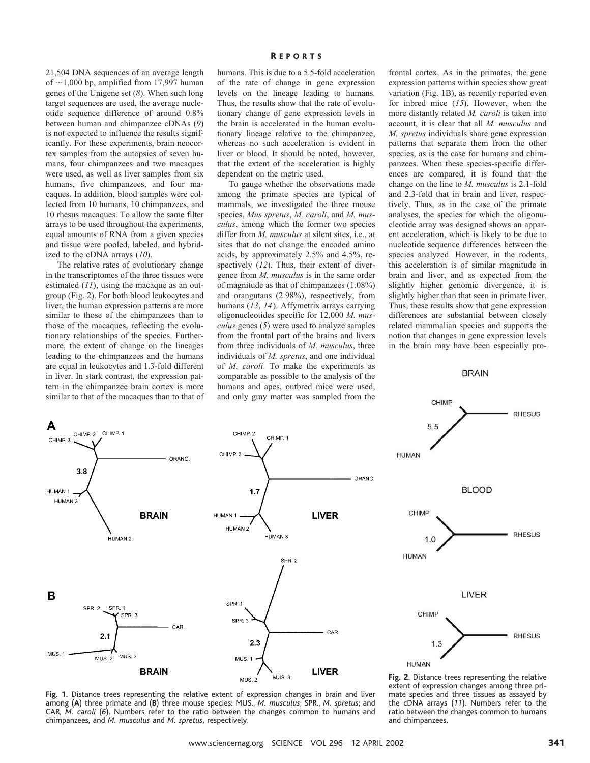21,504 DNA sequences of an average length of  $\sim$ 1,000 bp, amplified from 17,997 human genes of the Unigene set (*8*). When such long target sequences are used, the average nucleotide sequence difference of around 0.8% between human and chimpanzee cDNAs (*9*) is not expected to influence the results significantly. For these experiments, brain neocortex samples from the autopsies of seven humans, four chimpanzees and two macaques were used, as well as liver samples from six humans, five chimpanzees, and four macaques. In addition, blood samples were collected from 10 humans, 10 chimpanzees, and 10 rhesus macaques. To allow the same filter arrays to be used throughout the experiments, equal amounts of RNA from a given species and tissue were pooled, labeled, and hybridized to the cDNA arrays (*10*).

The relative rates of evolutionary change in the transcriptomes of the three tissues were estimated (*11*), using the macaque as an outgroup (Fig. 2). For both blood leukocytes and liver, the human expression patterns are more similar to those of the chimpanzees than to those of the macaques, reflecting the evolutionary relationships of the species. Furthermore, the extent of change on the lineages leading to the chimpanzees and the humans are equal in leukocytes and 1.3-fold different in liver. In stark contrast, the expression pattern in the chimpanzee brain cortex is more similar to that of the macaques than to that of humans. This is due to a 5.5-fold acceleration of the rate of change in gene expression levels on the lineage leading to humans. Thus, the results show that the rate of evolutionary change of gene expression levels in the brain is accelerated in the human evolutionary lineage relative to the chimpanzee, whereas no such acceleration is evident in liver or blood. It should be noted, however, that the extent of the acceleration is highly dependent on the metric used.

To gauge whether the observations made among the primate species are typical of mammals, we investigated the three mouse species, *Mus spretus*, *M. caroli*, and *M. musculus*, among which the former two species differ from *M. musculus* at silent sites, i.e., at sites that do not change the encoded amino acids, by approximately 2.5% and 4.5%, respectively (*12*). Thus, their extent of divergence from *M. musculus* is in the same order of magnitude as that of chimpanzees (1.08%) and orangutans (2.98%), respectively, from humans (*13*, *14*). Affymetrix arrays carrying oligonucleotides specific for 12,000 *M. musculus* genes (*5*) were used to analyze samples from the frontal part of the brains and livers from three individuals of *M. musculus*, three individuals of *M. spretus*, and one individual of *M. caroli*. To make the experiments as comparable as possible to the analysis of the humans and apes, outbred mice were used, and only gray matter was sampled from the

frontal cortex. As in the primates, the gene expression patterns within species show great variation (Fig. 1B), as recently reported even for inbred mice (*15*). However, when the more distantly related *M. caroli* is taken into account, it is clear that all *M. musculus* and *M. spretus* individuals share gene expression patterns that separate them from the other species, as is the case for humans and chimpanzees. When these species-specific differences are compared, it is found that the change on the line to *M. musculus* is 2.1-fold and 2.3-fold that in brain and liver, respectively. Thus, as in the case of the primate analyses, the species for which the oligonucleotide array was designed shows an apparent acceleration, which is likely to be due to nucleotide sequence differences between the species analyzed. However, in the rodents, this acceleration is of similar magnitude in brain and liver, and as expected from the slightly higher genomic divergence, it is slightly higher than that seen in primate liver. Thus, these results show that gene expression differences are substantial between closely related mammalian species and supports the notion that changes in gene expression levels in the brain may have been especially pro-

## **BRAIN**

**BLOOD** 

**RHESUS** 

CHIMP

5.5

**HUMAN** 





**Fig. 2.** Distance trees representing the relative extent of expression changes among three primate species and three tissues as assayed by the cDNA arrays (*11*). Numbers refer to the ratio between the changes common to humans and chimpanzees.

**Fig. 1.** Distance trees representing the relative extent of expression changes in brain and liver among (**A**) three primate and (**B**) three mouse species: MUS., *M. musculus*; SPR., *M. spretus*; and CAR, *M. caroli* (*6*). Numbers refer to the ratio between the changes common to humans and chimpanzees, and *M. musculus* and *M. spretus*, respectively.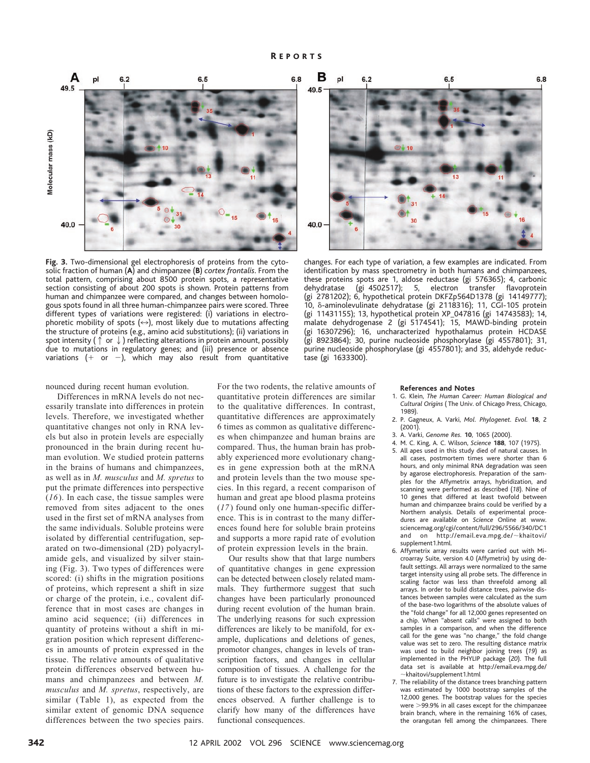



**Fig. 3.** Two-dimensional gel electrophoresis of proteins from the cytosolic fraction of human (**A**) and chimpanzee (**B**) *cortex frontalis*. From the total pattern, comprising about 8500 protein spots, a representative section consisting of about 200 spots is shown. Protein patterns from human and chimpanzee were compared, and changes between homologous spots found in all three human-chimpanzee pairs were scored. Three different types of variations were registered: (i) variations in electrophoretic mobility of spots  $(\leftrightarrow)$ , most likely due to mutations affecting the structure of proteins (e.g., amino acid substitutions); (ii) variations in spot intensity ( $\uparrow$  or  $\downarrow$ ) reflecting alterations in protein amount, possibly due to mutations in regulatory genes; and (iii) presence or absence variations  $(+ \text{ or } -)$ , which may also result from quantitative

changes. For each type of variation, a few examples are indicated. From identification by mass spectrometry in both humans and chimpanzees, these proteins spots are 1, aldose reductase (gi|576365); 4, carbonic dehydratase (gi|4502517); 5, electron transfer flavoprotein (gi 2781202); 6, hypothetical protein DKFZp564D1378 (gi 14149777); 10,  $\delta$ -aminolevulinate dehydratase (gi 2118316); 11, CGI-105 protein (gi11431155); 13, hypothetical protein XP\_047816 (gi14743583); 14, malate dehydrogenase 2 (gi 5174541); 15, MAWD-binding protein (gi 16307296); 16, uncharacterized hypothalamus protein HCDASE  $\left( \frac{\pi}{6} \right| 8923864$ ); 30, purine nucleoside phosphorylase (gi $\left| 4557801 \right|$ ; 31, purine nucleoside phosphorylase (gi 4557801); and 35, aldehyde reductase (gi 1633300).

nounced during recent human evolution.

Differences in mRNA levels do not necessarily translate into differences in protein levels. Therefore, we investigated whether quantitative changes not only in RNA levels but also in protein levels are especially pronounced in the brain during recent human evolution. We studied protein patterns in the brains of humans and chimpanzees, as well as in *M. musculus* and *M. spretus* to put the primate differences into perspective (*16*). In each case, the tissue samples were removed from sites adjacent to the ones used in the first set of mRNA analyses from the same individuals. Soluble proteins were isolated by differential centrifugation, separated on two-dimensional (2D) polyacrylamide gels, and visualized by silver staining (Fig. 3). Two types of differences were scored: (i) shifts in the migration positions of proteins, which represent a shift in size or charge of the protein, i.e., covalent difference that in most cases are changes in amino acid sequence; (ii) differences in quantity of proteins without a shift in migration position which represent differences in amounts of protein expressed in the tissue. The relative amounts of qualitative protein differences observed between humans and chimpanzees and between *M. musculus* and *M. spretus*, respectively, are similar (Table 1), as expected from the similar extent of genomic DNA sequence differences between the two species pairs.

For the two rodents, the relative amounts of quantitative protein differences are similar to the qualitative differences. In contrast, quantitative differences are approximately 6 times as common as qualitative differences when chimpanzee and human brains are compared. Thus, the human brain has probably experienced more evolutionary changes in gene expression both at the mRNA and protein levels than the two mouse species. In this regard, a recent comparison of human and great ape blood plasma proteins (*17*) found only one human-specific difference. This is in contrast to the many differences found here for soluble brain proteins and supports a more rapid rate of evolution of protein expression levels in the brain.

Our results show that that large numbers of quantitative changes in gene expression can be detected between closely related mammals. They furthermore suggest that such changes have been particularly pronounced during recent evolution of the human brain. The underlying reasons for such expression differences are likely to be manifold, for example, duplications and deletions of genes, promotor changes, changes in levels of transcription factors, and changes in cellular composition of tissues. A challenge for the future is to investigate the relative contributions of these factors to the expression differences observed. A further challenge is to clarify how many of the differences have functional consequences.

#### **References and Notes**

- 1. G. Klein, *The Human Career: Human Biological and Cultural Origins* ( The Univ. of Chicago Press, Chicago, 1989).
- 2. P. Gagneux, A. Varki, *Mol. Phylogenet. Evol.* **18**, 2  $(2001)$ .
- 3. A. Varki, *Genome Res.* **10**, 1065 (2000).
- 4. M. C. King, A. C. Wilson, *Science* **188**, 107 (1975).
- 5. All apes used in this study died of natural causes. In all cases, postmortem times were shorter than 6 hours, and only minimal RNA degradation was seen by agarose electrophoresis. Preparation of the samples for the Affymetrix arrays, hybridization, and scanning were performed as described (*18*). Nine of 10 genes that differed at least twofold between human and chimpanzee brains could be verified by a Northern analysis. Details of experimental procedures are available on *Science* Online at www. sciencemag.org/cgi/content/full/296/5566/340/DC1 and on http://email.eva.mpg.de/~khaitovi/ supplement1.html.
- 6. Affymetrix array results were carried out with Microarray Suite, version 4.0 (Affymetrix) by using default settings. All arrays were normalized to the same target intensity using all probe sets. The difference in scaling factor was less than threefold among all arrays. In order to build distance trees, pairwise distances between samples were calculated as the sum of the base-two logarithms of the absolute values of the "fold change" for all 12,000 genes represented on a chip. When "absent calls" were assigned to both samples in a comparison, and when the difference call for the gene was "no change," the fold change value was set to zero. The resulting distance matrix was used to build neighbor joining trees (*19*) as implemented in the PHYLIP package (*20*). The full data set is available at http://email.eva.mpg.de/  $\sim$ khaitovi/supplement1.html
- 7. The reliability of the distance trees branching pattern was estimated by 1000 bootstrap samples of the 12,000 genes. The bootstrap values for the species were  $>$ 99.9% in all cases except for the chimpanzee brain branch, where in the remaining 16% of cases, the orangutan fell among the chimpanzees. There